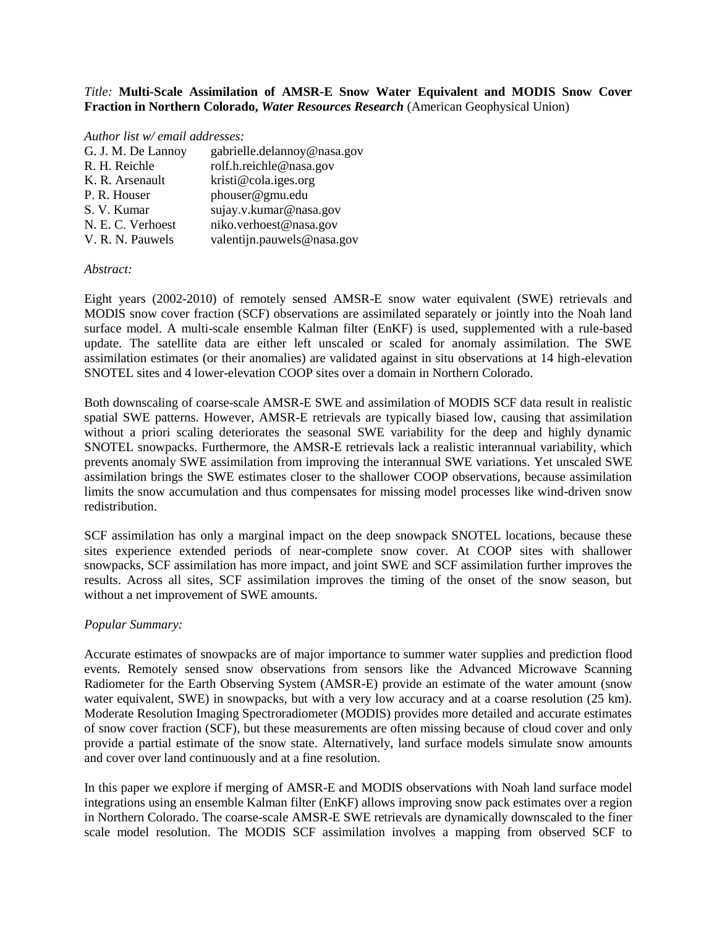## *Title:* **Multi-Scale Assimilation of AMSR-E Snow Water Equivalent and MODIS Snow Cover Fraction in Northern Colorado,** *Water Resources Research* (American Geophysical Union)

## *Author list w/ email addresses:*

| G. J. M. De Lannoy | gabrielle.delannoy@nasa.gov |
|--------------------|-----------------------------|
| R. H. Reichle      | rolf.h.reichle@nasa.gov     |
| K. R. Arsenault    | kristi@cola.iges.org        |
| P. R. Houser       | phouser@gmu.edu             |
| S. V. Kumar        | sujay.v.kumar@nasa.gov      |
| N. E. C. Verhoest  | niko.verhoest@nasa.gov      |
| V. R. N. Pauwels   | valentijn.pauwels@nasa.gov  |

## *Abstract:*

Eight years (2002-2010) of remotely sensed AMSR-E snow water equivalent (SWE) retrievals and MODIS snow cover fraction (SCF) observations are assimilated separately or jointly into the Noah land surface model. A multi-scale ensemble Kalman filter (EnKF) is used, supplemented with a rule-based update. The satellite data are either left unscaled or scaled for anomaly assimilation. The SWE assimilation estimates (or their anomalies) are validated against in situ observations at 14 high-elevation SNOTEL sites and 4 lower-elevation COOP sites over a domain in Northern Colorado.

Both downscaling of coarse-scale AMSR-E SWE and assimilation of MODIS SCF data result in realistic spatial SWE patterns. However, AMSR-E retrievals are typically biased low, causing that assimilation without a priori scaling deteriorates the seasonal SWE variability for the deep and highly dynamic SNOTEL snowpacks. Furthermore, the AMSR-E retrievals lack a realistic interannual variability, which prevents anomaly SWE assimilation from improving the interannual SWE variations. Yet unscaled SWE assimilation brings the SWE estimates closer to the shallower COOP observations, because assimilation limits the snow accumulation and thus compensates for missing model processes like wind-driven snow redistribution.

SCF assimilation has only a marginal impact on the deep snowpack SNOTEL locations, because these sites experience extended periods of near-complete snow cover. At COOP sites with shallower snowpacks, SCF assimilation has more impact, and joint SWE and SCF assimilation further improves the results. Across all sites, SCF assimilation improves the timing of the onset of the snow season, but without a net improvement of SWE amounts.

## *Popular Summary:*

Accurate estimates of snowpacks are of major importance to summer water supplies and prediction flood events. Remotely sensed snow observations from sensors like the Advanced Microwave Scanning Radiometer for the Earth Observing System (AMSR-E) provide an estimate of the water amount (snow water equivalent, SWE) in snowpacks, but with a very low accuracy and at a coarse resolution (25 km). Moderate Resolution Imaging Spectroradiometer (MODIS) provides more detailed and accurate estimates of snow cover fraction (SCF), but these measurements are often missing because of cloud cover and only provide a partial estimate of the snow state. Alternatively, land surface models simulate snow amounts and cover over land continuously and at a fine resolution.

In this paper we explore if merging of AMSR-E and MODIS observations with Noah land surface model integrations using an ensemble Kalman filter (EnKF) allows improving snow pack estimates over a region in Northern Colorado. The coarse-scale AMSR-E SWE retrievals are dynamically downscaled to the finer scale model resolution. The MODIS SCF assimilation involves a mapping from observed SCF to